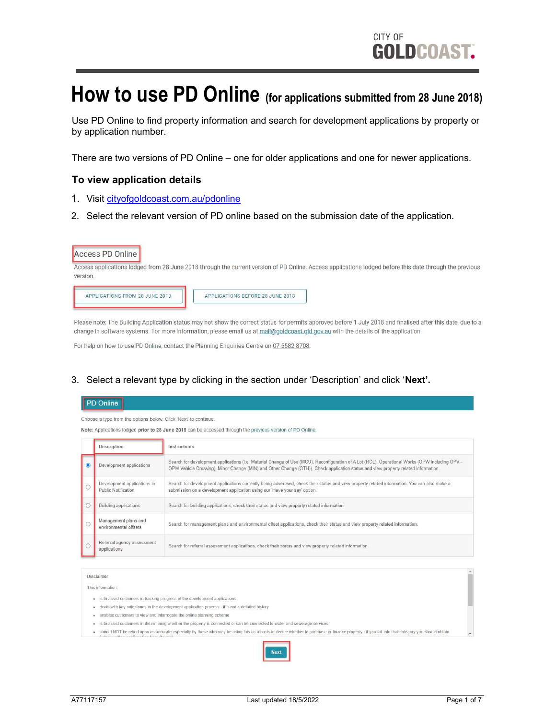# How to use PD Online (for applications submitted from 28 June 2018)

Use PD Online to find property information and search for development applications by property or by application number.

There are two versions of PD Online – one for older applications and one for newer applications.

## To view application details

APPLICATIONS FROM 28 JUNE 2018

- 1. Visit [cityofgoldcoast.com.au/pdonline](http://www.goldcoast.qld.gov.au/pdonline)
- 2. Select the relevant version of PD online based on the submission date of the application.





APPLICATIONS BEFORE 28 JUNE 2018

change in software systems. For more information, please email us at mail@goldcoast.qld.gov.au with the details of the application.

For help on how to use PD Online, contact the Planning Enquiries Centre on 07 5582 8708.

#### 3. Select a relevant type by clicking in the section under 'Description' and click 'Next'.

| PD Online                                                                                                  |
|------------------------------------------------------------------------------------------------------------|
| Choose a type from the options below. Click 'Next' to continue.                                            |
| Note: Applications lodged prior to 28 June 2018 can be accessed through the previous version of PD Online. |
|                                                                                                            |

| Description                                        | Instructions                                                                                                                                                                                                                                                                         |
|----------------------------------------------------|--------------------------------------------------------------------------------------------------------------------------------------------------------------------------------------------------------------------------------------------------------------------------------------|
| Development applications                           | Search for development applications (i.e. Material Change of Use (MCU), Reconfiguration of A Lot (ROL), Operational Works (OPW including OPV -<br>OPW Vehicle Crossing), Minor Change (MIN) and Other Change (OTH)). Check application status and view property related information. |
| Development applications in<br>Public Notification | Search for development applications currently being advertised, check their status and view property related information. You can also make a<br>submission on a development application using our 'Have your say' option.                                                           |
| <b>Building applications</b>                       | Search for building applications, check their status and view property related information.                                                                                                                                                                                          |
| Management plans and<br>environmental offsets      | Search for management plans and environmental offset applications, check their status and view property related information.                                                                                                                                                         |
| Referral agency assessment<br>applications         | Search for referral assessment applications, check their status and view property related information.                                                                                                                                                                               |

Disclaimer

This information:

- · is to assist customers in tracking progress of the development application
- . deals with key milestones in the development application process it is not a detailed history
- . enables customers to view and interrogate the online planning scheme
- . is to assist customers in determining whether the property is connected or can be connected to water and sewerage services
- . should NOT be relied upon as accurate especially by those who may be using this as a basis to decide whether to purchase or finance property if you fall into that category you should obtain

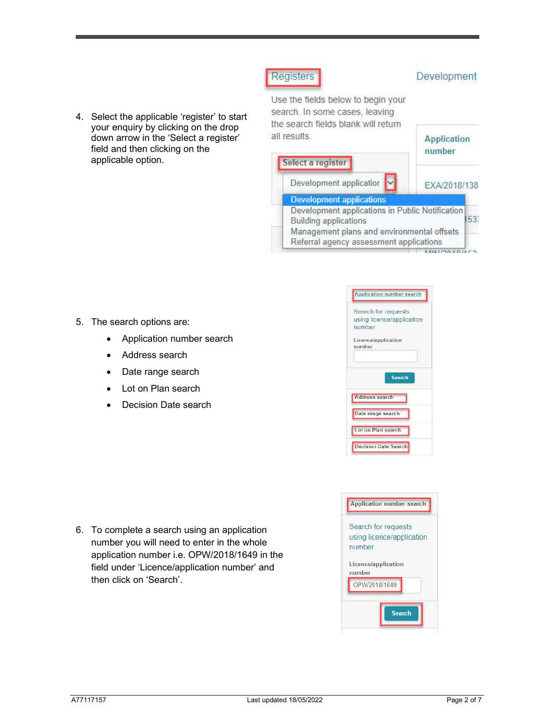4. Select the applicable 'register' to start your enquiry by clicking on the drop down arrow in the 'Select a register' field and then clicking on the applicable option.



- 5. The search options are:
	- Application number search
	- Address search
	- Date range search
	- Lot on Plan search
	- Decision Date search

| <b>Application number search</b>                           |
|------------------------------------------------------------|
| Search for requests<br>using licence/application<br>number |
| Licence/application<br>number                              |
| <b>Search</b>                                              |
| <b>Address search</b>                                      |
| Date range search                                          |
| Lot on Plan search                                         |
| <b>Decision Date Search</b>                                |



6. To complete a search using an application number you will need to enter in the whole application number i.e. OPW/2018/1649 in the field under 'Licence/application number' and then click on 'Search'.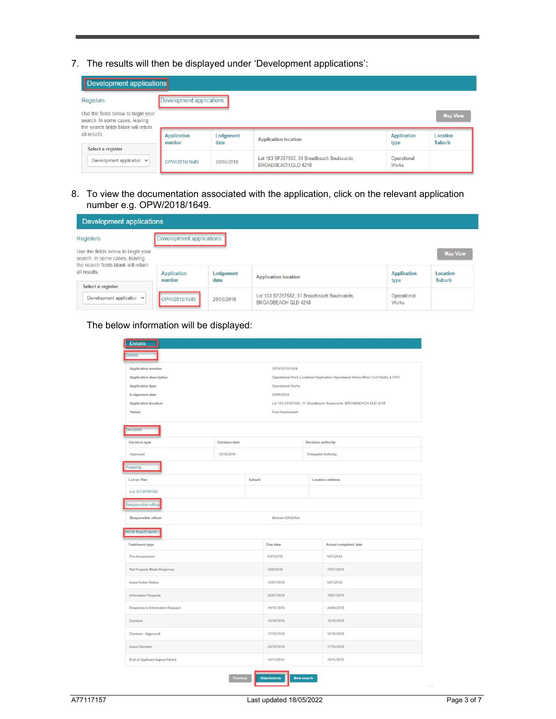7. The results will then be displayed under 'Development applications':

| Development applications                                                                                                   |                          |            |                                                                    |                      |                             |
|----------------------------------------------------------------------------------------------------------------------------|--------------------------|------------|--------------------------------------------------------------------|----------------------|-----------------------------|
| Registers                                                                                                                  | Development applications |            |                                                                    |                      |                             |
| Use the fields below to begin your<br>search. In some cases, leaving<br>the search fields blank will return<br>all results | Application              | Lodgement  | <b>Application location</b>                                        | Application          | <b>Map View</b><br>Location |
| Select a register                                                                                                          | number                   | date       |                                                                    | type                 | Suburb                      |
| Development application v                                                                                                  | OPW/2018/1649            | 28/06/2018 | Lot 103 SP287582, 31 Broadbeach Boulevarde,<br>BROADBEACH QLD 4218 | Operational<br>Works |                             |

8. To view the documentation associated with the application, click on the relevant application number e.g. OPW/2018/1649.

| Development applications                                                                                                    |                          |                   |                                                                    |                            |                    |
|-----------------------------------------------------------------------------------------------------------------------------|--------------------------|-------------------|--------------------------------------------------------------------|----------------------------|--------------------|
| Registers                                                                                                                   | Development applications |                   |                                                                    |                            |                    |
| Use the fields below to begin your<br>search. In some cases, leaving<br>the search fields blank will return<br>all results. |                          |                   |                                                                    |                            | <b>Map View</b>    |
| Select a register                                                                                                           | Application<br>number    | Lodgement<br>date | <b>Application location</b>                                        | <b>Application</b><br>type | Location<br>Suburb |
| Development application $\vee$                                                                                              | OPW/2018/1649            | 28/06/2018        | Lot 103 SP287582, 31 Broadbeach Boulevarde,<br>BROADBEACH OLD 4218 | Operational<br>Works       |                    |

## The below information will be displayed:

| Details                                                                                                                                                                                 |  |                 |                                                                                 |  |  |
|-----------------------------------------------------------------------------------------------------------------------------------------------------------------------------------------|--|-----------------|---------------------------------------------------------------------------------|--|--|
| Application number                                                                                                                                                                      |  |                 | OPW/2018/1649                                                                   |  |  |
| Application description                                                                                                                                                                 |  |                 | Operational Work Combined Application Operational Works Minor Civil Works & VXO |  |  |
| Application type                                                                                                                                                                        |  |                 | Operational Works                                                               |  |  |
| Lodgement date                                                                                                                                                                          |  | 28/06/2018      |                                                                                 |  |  |
| Application location                                                                                                                                                                    |  |                 | Lot 103 SP287582, 31 Broadbeach Boulevarde, BROADBEACH QLD 4218                 |  |  |
| Status                                                                                                                                                                                  |  | Past Assessment |                                                                                 |  |  |
| Docision                                                                                                                                                                                |  |                 |                                                                                 |  |  |
| Decision date<br>Decision type                                                                                                                                                          |  |                 | Decision authority                                                              |  |  |
| 12/10/2018<br>Approved                                                                                                                                                                  |  |                 | Delegated Authority                                                             |  |  |
| Property                                                                                                                                                                                |  |                 |                                                                                 |  |  |
| Lot on Plan                                                                                                                                                                             |  | Suburb          | Location address.                                                               |  |  |
| Lot 103 SP267582                                                                                                                                                                        |  |                 |                                                                                 |  |  |
| Responsible office                                                                                                                                                                      |  |                 |                                                                                 |  |  |
|                                                                                                                                                                                         |  |                 |                                                                                 |  |  |
|                                                                                                                                                                                         |  | Michael GRAVINA |                                                                                 |  |  |
|                                                                                                                                                                                         |  |                 |                                                                                 |  |  |
|                                                                                                                                                                                         |  | Due date        | Actual completed date                                                           |  |  |
|                                                                                                                                                                                         |  | G/67/2018       | 6/67/2018                                                                       |  |  |
|                                                                                                                                                                                         |  | 3/08/2018       | 11/07/2018                                                                      |  |  |
| Responsible officer                                                                                                                                                                     |  | 13/67/2010      | 6/07/2018                                                                       |  |  |
|                                                                                                                                                                                         |  | 25/07/2018      | 19/07/2018                                                                      |  |  |
|                                                                                                                                                                                         |  | 19/10/2018      | 24/08/2018                                                                      |  |  |
| Work flow/Events<br>Task/event type<br>Pre-Assessment<br>Not Property Made Response<br><b>Nope Action Notice</b><br>Information Request<br>Response to Information Request<br>Decision. |  | 15/10/2018      | 12/10/2018                                                                      |  |  |
|                                                                                                                                                                                         |  | 17/10/2018      | 12/10/2018                                                                      |  |  |
| Decision - Approved<br>Insue Docision                                                                                                                                                   |  | 24/10/2018      | 17/10/2018                                                                      |  |  |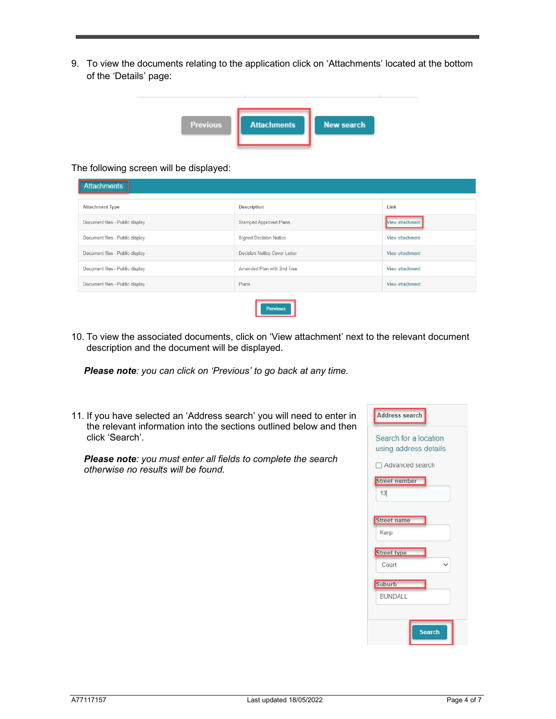9. To view the documents relating to the application click on 'Attachments' located at the bottom of the 'Details' page:

| <b>Previous</b> | <b>Attachments</b> | <b>New search</b> |
|-----------------|--------------------|-------------------|

### The following screen will be displayed:

| <b>Attachment Type</b>          | Description                   | Link            |
|---------------------------------|-------------------------------|-----------------|
| Document files - Public display | <b>Stamped Approved Plans</b> | View attachment |
| Document files - Public display | Signed Decision Notice        | View attachment |
| Document files - Public display | Decision Notice Cover Letter  | View attachment |
| Document files - Public display | Amended Plan with 2nd Tree    | View attachment |
| Document files - Public display | Plans                         | View attachment |

10. To view the associated documents, click on 'View attachment' next to the relevant document description and the document will be displayed.

Please note: you can click on 'Previous' to go back at any time.

11. If you have selected an 'Address search' you will need to enter in the relevant information into the sections outlined below and then click 'Search'.

Please note: you must enter all fields to complete the search otherwise no results will be found.

| Search for a location<br>using address details |  |
|------------------------------------------------|--|
| Advanced search                                |  |
| <b>Street number</b>                           |  |
| 13                                             |  |
| <b>Street name</b>                             |  |
| Karp                                           |  |
| <b>Street type</b>                             |  |
| Court<br>. V                                   |  |
| Suburb                                         |  |
| BUNDALL                                        |  |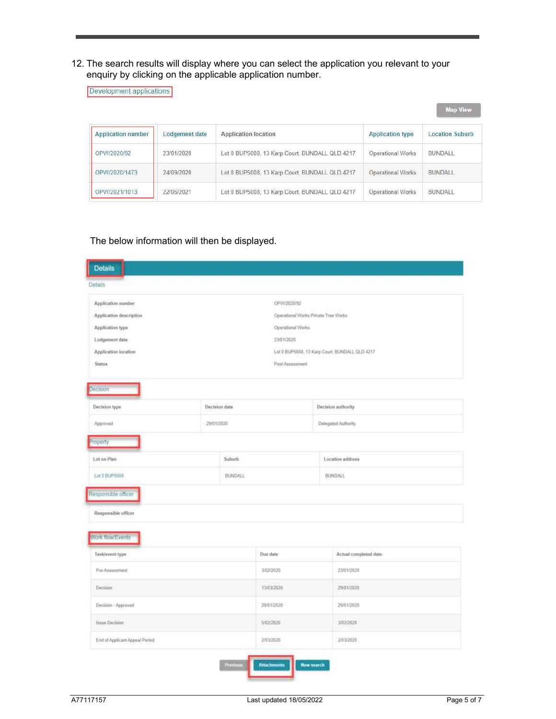12. The search results will display where you can select the application you relevant to your enquiry by clicking on the applicable application number.

| Development applications |                |                                                |                          | <b>Map View</b>        |
|--------------------------|----------------|------------------------------------------------|--------------------------|------------------------|
| Application number       | Lodgement date | Application location                           | <b>Application type</b>  | <b>Location Suburb</b> |
| OPW/2020/92              | 23/01/2020     | Lot 0 BUP5008, 13 Karp Court, BUNDALL QLD 4217 | Operational Works        | <b>BUNDALL</b>         |
| OPW/2020/1473            | 24/09/2020     | Lot 0 BUP5008, 13 Karp Court, BUNDALL QLD 4217 | <b>Operational Works</b> | BUNDALL                |
| OPW/2021/1013            | 22/06/2021     | Lot 0 BUP5008, 13 Karp Court, BUNDALL QLD 4217 | Operational Works        | <b>BUNDALL</b>         |

# The below information will then be displayed.

| Application number      |                     | OPW/2020/92     |                                                |                       |  |
|-------------------------|---------------------|-----------------|------------------------------------------------|-----------------------|--|
| Application description |                     |                 | Operational Works Private Tree Works           |                       |  |
| Application type        |                     |                 | Operational Works                              |                       |  |
| Lodgement date          |                     | 23/01/2020      |                                                |                       |  |
| Application location    |                     |                 | Lot 0 BUP5000, 13 Karp Court, BUNDALL QLD 4217 |                       |  |
| <b>Status</b>           |                     | Post Assessment |                                                |                       |  |
| becision                |                     |                 |                                                |                       |  |
| Decision type           | Decision date       |                 |                                                | Decision authority    |  |
| Approved                |                     | 29/01/2020      |                                                | Delegated Authority   |  |
| roperty                 |                     |                 |                                                |                       |  |
| Lot on Plan             |                     | Suburb          |                                                | Location address      |  |
| Lot 0 BUP5008           |                     | <b>BUNDALL</b>  |                                                | BUNDALL               |  |
| Responsible officer     |                     |                 |                                                |                       |  |
| Responsible officer.    |                     |                 |                                                |                       |  |
| Work flow/Events        |                     |                 |                                                |                       |  |
| Task/event type         |                     | Due date        |                                                | Actual completed date |  |
| Pre-Assessment          |                     | 3/02/2020       |                                                | 23/01/2020            |  |
| Decision                |                     | 13/03/2020      |                                                | 29/01/2020            |  |
|                         | Decision - Approved |                 |                                                | 29/01/2020            |  |
|                         |                     |                 |                                                |                       |  |
| Issue Decision          |                     | 5/02/2020       |                                                | 3/02/2020             |  |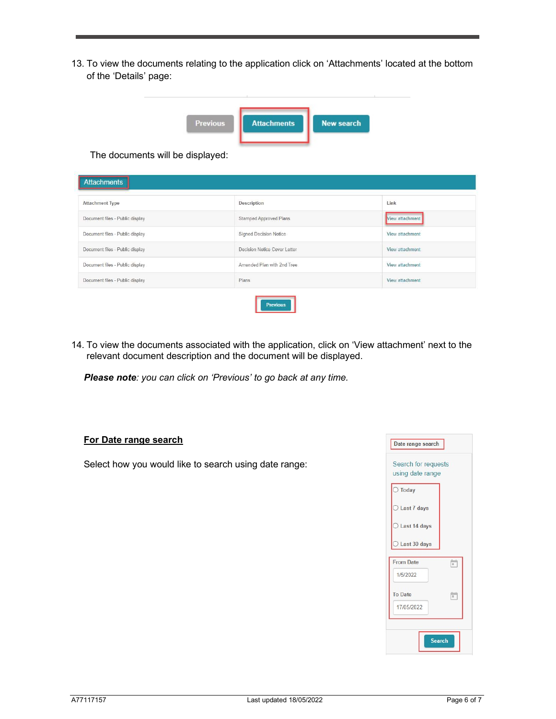13. To view the documents relating to the application click on 'Attachments' located at the bottom of the 'Details' page:

| <b>Previous</b> | <b>Attachments</b> | <b>New search</b> |
|-----------------|--------------------|-------------------|

The documents will be displayed:

| <b>Attachment Type</b>          | Description                   | Link            |
|---------------------------------|-------------------------------|-----------------|
| Document files - Public display | <b>Stamped Approved Plans</b> | View attachment |
| Document files - Public display | <b>Signed Decision Notice</b> | View attachment |
| Document files - Public display | Decision Notice Cover Letter  | View attachment |
| Document files - Public display | Amended Plan with 2nd Tree    | View attachment |
| Document files - Public display | Plans                         | View attachment |

14. To view the documents associated with the application, click on 'View attachment' next to the relevant document description and the document will be displayed.

Please note: you can click on 'Previous' to go back at any time.

#### For Date range search

Select how you would like to search using date range: